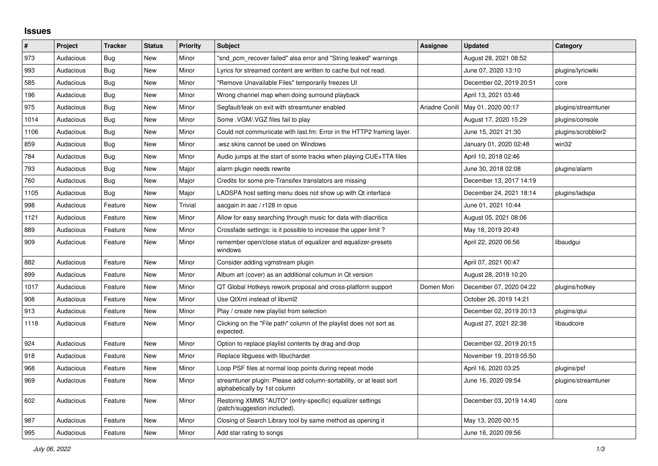## **Issues**

| #    | Project   | <b>Tracker</b> | <b>Status</b> | <b>Priority</b> | <b>Subject</b>                                                                                      | <b>Assignee</b> | <b>Updated</b>          | Category            |
|------|-----------|----------------|---------------|-----------------|-----------------------------------------------------------------------------------------------------|-----------------|-------------------------|---------------------|
| 973  | Audacious | Bug            | <b>New</b>    | Minor           | "snd pcm recover failed" alsa error and "String leaked" warnings                                    |                 | August 28, 2021 08:52   |                     |
| 993  | Audacious | Bug            | <b>New</b>    | Minor           | Lyrics for streamed content are written to cache but not read.                                      |                 | June 07, 2020 13:10     | plugins/lyricwiki   |
| 585  | Audacious | Bug            | <b>New</b>    | Minor           | "Remove Unavailable Files" temporarily freezes UI                                                   |                 | December 02, 2019 20:51 | core                |
| 196  | Audacious | <b>Bug</b>     | <b>New</b>    | Minor           | Wrong channel map when doing surround playback                                                      |                 | April 13, 2021 03:48    |                     |
| 975  | Audacious | Bug            | New           | Minor           | Segfault/leak on exit with streamtuner enabled                                                      | Ariadne Conill  | May 01, 2020 00:17      | plugins/streamtuner |
| 1014 | Audacious | Bug            | New           | Minor           | Some . VGM/. VGZ files fail to play                                                                 |                 | August 17, 2020 15:29   | plugins/console     |
| 1106 | Audacious | <b>Bug</b>     | <b>New</b>    | Minor           | Could not communicate with last.fm: Error in the HTTP2 framing layer.                               |                 | June 15, 2021 21:30     | plugins/scrobbler2  |
| 859  | Audacious | Bug            | <b>New</b>    | Minor           | wsz skins cannot be used on Windows                                                                 |                 | January 01, 2020 02:48  | win32               |
| 784  | Audacious | Bug            | <b>New</b>    | Minor           | Audio jumps at the start of some tracks when playing CUE+TTA files                                  |                 | April 10, 2018 02:46    |                     |
| 793  | Audacious | Bug            | <b>New</b>    | Major           | alarm plugin needs rewrite                                                                          |                 | June 30, 2018 02:08     | plugins/alarm       |
| 760  | Audacious | Bug            | <b>New</b>    | Major           | Credits for some pre-Transifex translators are missing                                              |                 | December 13, 2017 14:19 |                     |
| 1105 | Audacious | Bug            | <b>New</b>    | Major           | LADSPA host setting menu does not show up with Qt interface                                         |                 | December 24, 2021 18:14 | plugins/ladspa      |
| 998  | Audacious | Feature        | New           | Trivial         | aacgain in aac / r128 in opus                                                                       |                 | June 01, 2021 10:44     |                     |
| 1121 | Audacious | Feature        | New           | Minor           | Allow for easy searching through music for data with diacritics                                     |                 | August 05, 2021 08:06   |                     |
| 889  | Audacious | Feature        | New           | Minor           | Crossfade settings: is it possible to increase the upper limit?                                     |                 | May 18, 2019 20:49      |                     |
| 909  | Audacious | Feature        | <b>New</b>    | Minor           | remember open/close status of equalizer and equalizer-presets<br>windows                            |                 | April 22, 2020 06:56    | libaudgui           |
| 882  | Audacious | Feature        | <b>New</b>    | Minor           | Consider adding vgmstream plugin                                                                    |                 | April 07, 2021 00:47    |                     |
| 899  | Audacious | Feature        | <b>New</b>    | Minor           | Album art (cover) as an additional columun in Qt version                                            |                 | August 28, 2019 10:20   |                     |
| 1017 | Audacious | Feature        | <b>New</b>    | Minor           | QT Global Hotkeys rework proposal and cross-platform support                                        | Domen Mori      | December 07, 2020 04:22 | plugins/hotkey      |
| 908  | Audacious | Feature        | <b>New</b>    | Minor           | Use QtXml instead of libxml2                                                                        |                 | October 26, 2019 14:21  |                     |
| 913  | Audacious | Feature        | New           | Minor           | Play / create new playlist from selection                                                           |                 | December 02, 2019 20:13 | plugins/gtui        |
| 1118 | Audacious | Feature        | New           | Minor           | Clicking on the "File path" column of the playlist does not sort as<br>expected.                    |                 | August 27, 2021 22:38   | libaudcore          |
| 924  | Audacious | Feature        | New           | Minor           | Option to replace playlist contents by drag and drop                                                |                 | December 02, 2019 20:15 |                     |
| 918  | Audacious | Feature        | New           | Minor           | Replace libguess with libuchardet                                                                   |                 | November 19, 2019 05:50 |                     |
| 968  | Audacious | Feature        | <b>New</b>    | Minor           | Loop PSF files at normal loop points during repeat mode                                             |                 | April 16, 2020 03:25    | plugins/psf         |
| 969  | Audacious | Feature        | New           | Minor           | streamtuner plugin: Please add column-sortability, or at least sort<br>alphabetically by 1st column |                 | June 16, 2020 09:54     | plugins/streamtuner |
| 602  | Audacious | Feature        | <b>New</b>    | Minor           | Restoring XMMS "AUTO" (entry-specific) equalizer settings<br>(patch/suggestion included).           |                 | December 03, 2019 14:40 | core                |
| 987  | Audacious | Feature        | <b>New</b>    | Minor           | Closing of Search Library tool by same method as opening it                                         |                 | May 13, 2020 00:15      |                     |
| 995  | Audacious | Feature        | New           | Minor           | Add star rating to songs                                                                            |                 | June 16, 2020 09:56     |                     |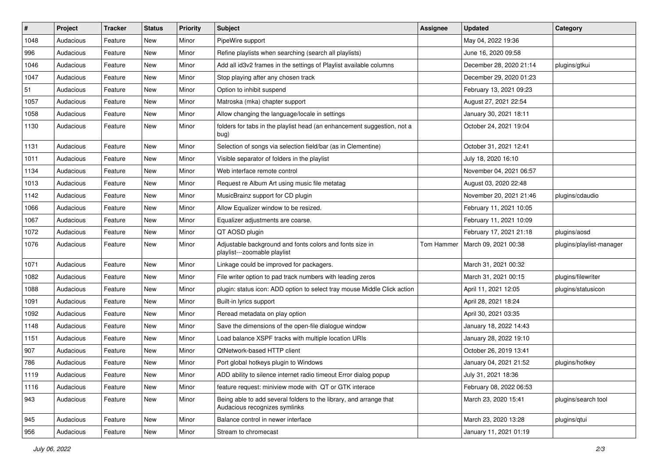| $\#$ | Project   | <b>Tracker</b> | <b>Status</b> | <b>Priority</b> | <b>Subject</b>                                                                                      | <b>Assignee</b> | <b>Updated</b>          | Category                 |
|------|-----------|----------------|---------------|-----------------|-----------------------------------------------------------------------------------------------------|-----------------|-------------------------|--------------------------|
| 1048 | Audacious | Feature        | New           | Minor           | PipeWire support                                                                                    |                 | May 04, 2022 19:36      |                          |
| 996  | Audacious | Feature        | <b>New</b>    | Minor           | Refine playlists when searching (search all playlists)                                              |                 | June 16, 2020 09:58     |                          |
| 1046 | Audacious | Feature        | New           | Minor           | Add all id3v2 frames in the settings of Playlist available columns                                  |                 | December 28, 2020 21:14 | plugins/gtkui            |
| 1047 | Audacious | Feature        | New           | Minor           | Stop playing after any chosen track                                                                 |                 | December 29, 2020 01:23 |                          |
| 51   | Audacious | Feature        | New           | Minor           | Option to inhibit suspend                                                                           |                 | February 13, 2021 09:23 |                          |
| 1057 | Audacious | Feature        | New           | Minor           | Matroska (mka) chapter support                                                                      |                 | August 27, 2021 22:54   |                          |
| 1058 | Audacious | Feature        | New           | Minor           | Allow changing the language/locale in settings                                                      |                 | January 30, 2021 18:11  |                          |
| 1130 | Audacious | Feature        | New           | Minor           | folders for tabs in the playlist head (an enhancement suggestion, not a<br>bug)                     |                 | October 24, 2021 19:04  |                          |
| 1131 | Audacious | Feature        | New           | Minor           | Selection of songs via selection field/bar (as in Clementine)                                       |                 | October 31, 2021 12:41  |                          |
| 1011 | Audacious | Feature        | New           | Minor           | Visible separator of folders in the playlist                                                        |                 | July 18, 2020 16:10     |                          |
| 1134 | Audacious | Feature        | New           | Minor           | Web interface remote control                                                                        |                 | November 04, 2021 06:57 |                          |
| 1013 | Audacious | Feature        | New           | Minor           | Request re Album Art using music file metatag                                                       |                 | August 03, 2020 22:48   |                          |
| 1142 | Audacious | Feature        | New           | Minor           | MusicBrainz support for CD plugin                                                                   |                 | November 20, 2021 21:46 | plugins/cdaudio          |
| 1066 | Audacious | Feature        | New           | Minor           | Allow Equalizer window to be resized.                                                               |                 | February 11, 2021 10:05 |                          |
| 1067 | Audacious | Feature        | New           | Minor           | Equalizer adjustments are coarse.                                                                   |                 | February 11, 2021 10:09 |                          |
| 1072 | Audacious | Feature        | New           | Minor           | QT AOSD plugin                                                                                      |                 | February 17, 2021 21:18 | plugins/aosd             |
| 1076 | Audacious | Feature        | New           | Minor           | Adjustable background and fonts colors and fonts size in<br>playlist---zoomable playlist            | Tom Hammer      | March 09, 2021 00:38    | plugins/playlist-manager |
| 1071 | Audacious | Feature        | New           | Minor           | Linkage could be improved for packagers.                                                            |                 | March 31, 2021 00:32    |                          |
| 1082 | Audacious | Feature        | New           | Minor           | File writer option to pad track numbers with leading zeros                                          |                 | March 31, 2021 00:15    | plugins/filewriter       |
| 1088 | Audacious | Feature        | New           | Minor           | plugin: status icon: ADD option to select tray mouse Middle Click action                            |                 | April 11, 2021 12:05    | plugins/statusicon       |
| 1091 | Audacious | Feature        | New           | Minor           | Built-in lyrics support                                                                             |                 | April 28, 2021 18:24    |                          |
| 1092 | Audacious | Feature        | New           | Minor           | Reread metadata on play option                                                                      |                 | April 30, 2021 03:35    |                          |
| 1148 | Audacious | Feature        | New           | Minor           | Save the dimensions of the open-file dialogue window                                                |                 | January 18, 2022 14:43  |                          |
| 1151 | Audacious | Feature        | New           | Minor           | Load balance XSPF tracks with multiple location URIs                                                |                 | January 28, 2022 19:10  |                          |
| 907  | Audacious | Feature        | New           | Minor           | QtNetwork-based HTTP client                                                                         |                 | October 26, 2019 13:41  |                          |
| 786  | Audacious | Feature        | <b>New</b>    | Minor           | Port global hotkeys plugin to Windows                                                               |                 | January 04, 2021 21:52  | plugins/hotkey           |
| 1119 | Audacious | Feature        | New           | Minor           | ADD ability to silence internet radio timeout Error dialog popup                                    |                 | July 31, 2021 18:36     |                          |
| 1116 | Audacious | Feature        | New           | Minor           | feature request: miniview mode with QT or GTK interace                                              |                 | February 08, 2022 06:53 |                          |
| 943  | Audacious | Feature        | New           | Minor           | Being able to add several folders to the library, and arrange that<br>Audacious recognizes symlinks |                 | March 23, 2020 15:41    | plugins/search tool      |
| 945  | Audacious | Feature        | New           | Minor           | Balance control in newer interface                                                                  |                 | March 23, 2020 13:28    | plugins/qtui             |
| 956  | Audacious | Feature        | New           | Minor           | Stream to chromecast                                                                                |                 | January 11, 2021 01:19  |                          |